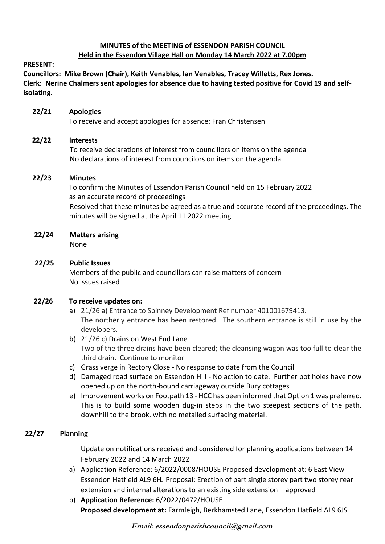# **MINUTES of the MEETING of ESSENDON PARISH COUNCIL**

## **Held in the Essendon Village Hall on Monday 14 March 2022 at 7.00pm**

### **PRESENT:**

**Councillors: Mike Brown (Chair), Keith Venables, Ian Venables, Tracey Willetts, Rex Jones. Clerk: Nerine Chalmers sent apologies for absence due to having tested positive for Covid 19 and selfisolating.**

## **22/21 Apologies**

To receive and accept apologies for absence: Fran Christensen

## **22/22 Interests**

To receive declarations of interest from councillors on items on the agenda No declarations of interest from councilors on items on the agenda

## **22/23 Minutes**

 To confirm the Minutes of Essendon Parish Council held on 15 February 2022 as an accurate record of proceedings Resolved that these minutes be agreed as a true and accurate record of the proceedings. The minutes will be signed at the April 11 2022 meeting

**22/24 Matters arising**

None

## **22/25 Public Issues**

Members of the public and councillors can raise matters of concern No issues raised

# **22/26 To receive updates on:**

- a) 21/26 a) Entrance to Spinney Development Ref number 401001679413. The northerly entrance has been restored. The southern entrance is still in use by the developers.
- b) 21/26 c) Drains on West End Lane Two of the three drains have been cleared; the cleansing wagon was too full to clear the third drain. Continue to monitor
- c) Grass verge in Rectory Close No response to date from the Council
- d) Damaged road surface on Essendon Hill No action to date. Further pot holes have now opened up on the north-bound carriageway outside Bury cottages
- e) Improvement works on Footpath 13 HCC has been informed that Option 1 was preferred. This is to build some wooden dug-in steps in the two steepest sections of the path, downhill to the brook, with no metalled surfacing material.

# **22/27 Planning**

Update on notifications received and considered for planning applications between 14 February 2022 and 14 March 2022

- a) Application Reference: 6/2022/0008/HOUSE Proposed development at: 6 East View Essendon Hatfield AL9 6HJ Proposal: Erection of part single storey part two storey rear extension and internal alterations to an existing side extension – approved
- b) **Application Reference:** 6/2022/0472/HOUSE **Proposed development at:** Farmleigh, Berkhamsted Lane, Essendon Hatfield AL9 6JS

**Email: essendonparishcouncil@gmail.com**